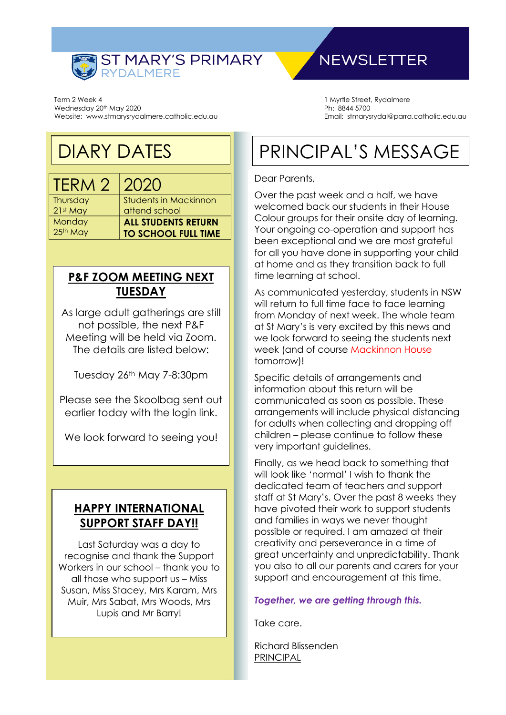

Term 2 Week 4 Wednesday 20<sup>th</sup> May 2020 Website: www.stmarysrydalmere.catholic.edu.au

## DIARY DATES

TERM 2 2020 **Thursday** 21st May **Monday** 25<sup>th</sup> May

Students in Mackinnon attend school **ALL STUDENTS RETURN TO SCHOOL FULL TIME**

#### **P&F ZOOM MEETING NEXT TUESDAY**

As large adult gatherings are still not possible, the next P&F Meeting will be held via Zoom. The details are listed below:

Tuesday 26<sup>th</sup> May 7-8:30pm

Please see the Skoolbag sent out earlier today with the login link.

We look forward to seeing you!

#### **HAPPY INTERNATIONAL SUPPORT STAFF DAY!!**

Last Saturday was a day to recognise and thank the Support Workers in our school – thank you to all those who support us – Miss Susan, Miss Stacey, Mrs Karam, Mrs Muir, Mrs Sabat, Mrs Woods, Mrs Lupis and Mr Barry!

### **NEWSLETTER**

1 Myrtle Street, Rydalmere Ph: 8844 5700 Email: stmarysrydal@parra.catholic.edu.au

# PRINCIPAL'S MESSAGE

#### Dear Parents,

Over the past week and a half, we have welcomed back our students in their House Colour groups for their onsite day of learning. Your ongoing co-operation and support has been exceptional and we are most grateful for all you have done in supporting your child at home and as they transition back to full time learning at school.

As communicated yesterday, students in NSW will return to full time face to face learning from Monday of next week. The whole team at St Mary's is very excited by this news and we look forward to seeing the students next week (and of course Mackinnon House tomorrow)!

Specific details of arrangements and information about this return will be communicated as soon as possible. These arrangements will include physical distancing for adults when collecting and dropping off children – please continue to follow these very important guidelines.

Finally, as we head back to something that will look like 'normal' I wish to thank the dedicated team of teachers and support staff at St Mary's. Over the past 8 weeks they have pivoted their work to support students and families in ways we never thought possible or required. I am amazed at their creativity and perseverance in a time of great uncertainty and unpredictability. Thank you also to all our parents and carers for your support and encouragement at this time.

#### *Together, we are getting through this.*

Take care.

Richard Blissenden PRINCIPAL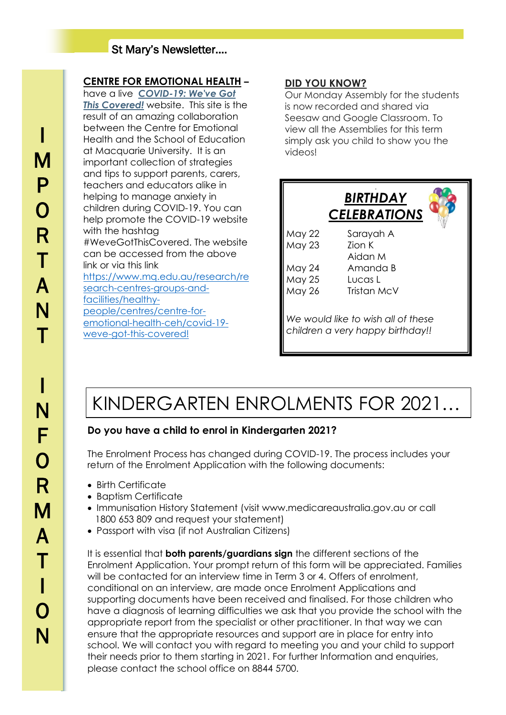#### St Mary's Newsletter….

#### **CENTRE FOR EMOTIONAL HEALTH –**

have a live *[COVID-19: We've Got](https://protect-au.mimecast.com/s/DKOlCXLW6DimGzgXHLA76s?domain=centreforemotionalhealth.cmail20.com)  [This Covered!](https://protect-au.mimecast.com/s/DKOlCXLW6DimGzgXHLA76s?domain=centreforemotionalhealth.cmail20.com)* website. This site is the result of an amazing collaboration between the Centre for Emotional Health and the School of Education at Macquarie University. It is an important collection of strategies and tips to support parents, carers, teachers and educators alike in helping to manage anxiety in children during COVID-19. You can help promote the COVID-19 website with the hashtag #WeveGotThisCovered. The website can be accessed from the above link or via this link [https://www.mq.edu.au/research/re](https://www.mq.edu.au/research/research-centres-groups-and-facilities/healthy-people/centres/centre-for-emotional-health-ceh/covid-19-weve-got-this-covered!) [search-centres-groups-and](https://www.mq.edu.au/research/research-centres-groups-and-facilities/healthy-people/centres/centre-for-emotional-health-ceh/covid-19-weve-got-this-covered!)[facilities/healthy](https://www.mq.edu.au/research/research-centres-groups-and-facilities/healthy-people/centres/centre-for-emotional-health-ceh/covid-19-weve-got-this-covered!)[people/centres/centre-for](https://www.mq.edu.au/research/research-centres-groups-and-facilities/healthy-people/centres/centre-for-emotional-health-ceh/covid-19-weve-got-this-covered!)[emotional-health-ceh/covid-19](https://www.mq.edu.au/research/research-centres-groups-and-facilities/healthy-people/centres/centre-for-emotional-health-ceh/covid-19-weve-got-this-covered!) [weve-got-this-covered!](https://www.mq.edu.au/research/research-centres-groups-and-facilities/healthy-people/centres/centre-for-emotional-health-ceh/covid-19-weve-got-this-covered!)

#### **DID YOU KNOW?**

Our Monday Assembly for the students is now recorded and shared via Seesaw and Google Classroom. To view all the Assemblies for this term simply ask you child to show you the videos!



# KINDERGARTEN ENROLMENTS FOR 2021…

#### **Do you have a child to enrol in Kindergarten 2021?**

The Enrolment Process has changed during COVID-19. The process includes your return of the Enrolment Application with the following documents:

- Birth Certificate
- Baptism Certificate
- Immunisation History Statement (visit www.medicareaustralia.gov.au or call 1800 653 809 and request your statement)
- Passport with visa (if not Australian Citizens)

It is essential that **both parents/guardians sign** the different sections of the Enrolment Application. Your prompt return of this form will be appreciated. Families will be contacted for an interview time in Term 3 or 4. Offers of enrolment, conditional on an interview, are made once Enrolment Applications and supporting documents have been received and finalised. For those children who have a diagnosis of learning difficulties we ask that you provide the school with the appropriate report from the specialist or other practitioner. In that way we can ensure that the appropriate resources and support are in place for entry into school. We will contact you with regard to meeting you and your child to support their needs prior to them starting in 2021. For further Information and enquiries, please contact the school office on 8844 5700.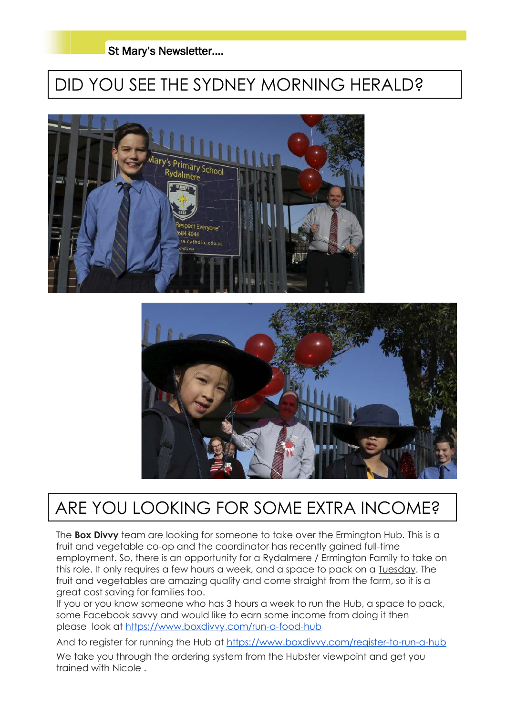#### St Mary's Newsletter….

## DID YOU SEE THE SYDNEY MORNING HERALD?





### ARE YOU LOOKING FOR SOME EXTRA INCOME?

The **Box Divvy** team are looking for someone to take over the Ermington Hub. This is a fruit and vegetable co-op and the coordinator has recently gained full-time employment. So, there is an opportunity for a Rydalmere / Ermington Family to take on this role. It only requires a few hours a week, and a space to pack on a Tuesday. The fruit and vegetables are amazing quality and come straight from the farm, so it is a great cost saving for families too.

If you or you know someone who has 3 hours a week to run the Hub, a space to pack, some Facebook savvy and would like to earn some income from doing it then please look at <https://www.boxdivvy.com/run-a-food-hub>

And to register for running the Hub at <https://www.boxdivvy.com/register-to-run-a-hub>

We take you through the ordering system from the Hubster viewpoint and get you trained with Nicole .